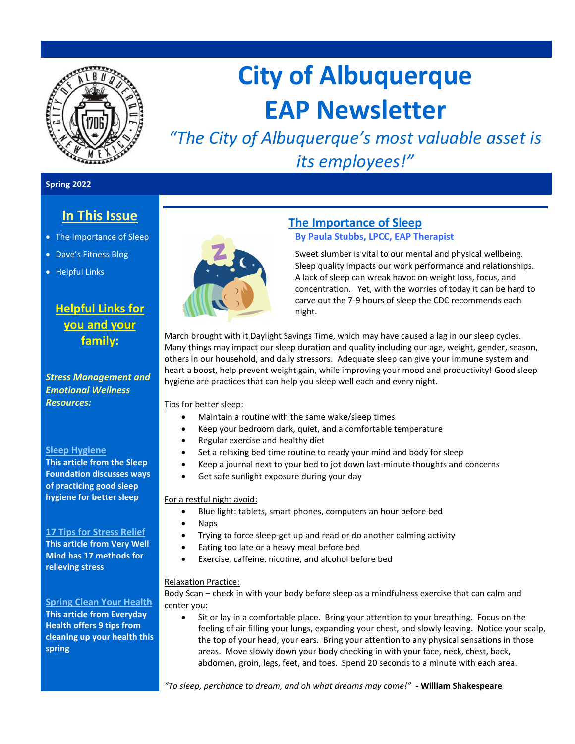

# **City of Albuquerque EAP Newsletter**

*"The City of Albuquerque's most valuable asset is its employees!"*

#### **Spring 2022**

# **In This Issue**

- The Importance of Sleep
- Dave's Fitness Blog
- Helpful Links

# **Helpful Links for you and your family:**

*Stress Management and Emotional Wellness Resources:* 

#### **Sleep [Hygiene](https://www.sleepfoundation.org/sleep-hygiene)**

**This article from the Sleep Foundation discusses ways of practicing good sleep hygiene for better sleep**

#### **17 [Tips for Stress Relief](https://www.verywellmind.com/tips-to-reduce-stress-3145195)**

**This article from Very Well Mind has 17 methods for relieving stress**

**[Spring Clean Your Health](https://www.everydayhealth.com/wellness/tips-for-spring-cleaning-your-health/) This article from Everyday Health offers 9 tips from cleaning up your health this spring**



## **The Importance of Sleep**

## **By Paula Stubbs, LPCC, EAP Therapist**

Sweet slumber is vital to our mental and physical wellbeing. Sleep quality impacts our work performance and relationships. A lack of sleep can wreak havoc on weight loss, focus, and concentration. Yet, with the worries of today it can be hard to carve out the 7-9 hours of sleep the CDC recommends each night.

March brought with it Daylight Savings Time, which may have caused a lag in our sleep cycles. Many things may impact our sleep duration and quality including our age, weight, gender, season, others in our household, and daily stressors. Adequate sleep can give your immune system and heart a boost, help prevent weight gain, while improving your mood and productivity! Good sleep hygiene are practices that can help you sleep well each and every night.

Tips for better sleep:

- Maintain a routine with the same wake/sleep times
	- Keep your bedroom dark, quiet, and a comfortable temperature
- Regular exercise and healthy diet
- Set a relaxing bed time routine to ready your mind and body for sleep
- Keep a journal next to your bed to jot down last-minute thoughts and concerns
- Get safe sunlight exposure during your day

For a restful night avoid:

- Blue light: tablets, smart phones, computers an hour before bed
- Naps
- Trying to force sleep-get up and read or do another calming activity
- Eating too late or a heavy meal before bed
- Exercise, caffeine, nicotine, and alcohol before bed

#### Relaxation Practice:

Body Scan – check in with your body before sleep as a mindfulness exercise that can calm and center you:

• Sit or lay in a comfortable place. Bring your attention to your breathing. Focus on the feeling of air filling your lungs, expanding your chest, and slowly leaving. Notice your scalp, the top of your head, your ears. Bring your attention to any physical sensations in those areas. Move slowly down your body checking in with your face, neck, chest, back, abdomen, groin, legs, feet, and toes. Spend 20 seconds to a minute with each area.

*"To sleep, perchance to dream, and oh what dreams may come!"* **- William Shakespeare**